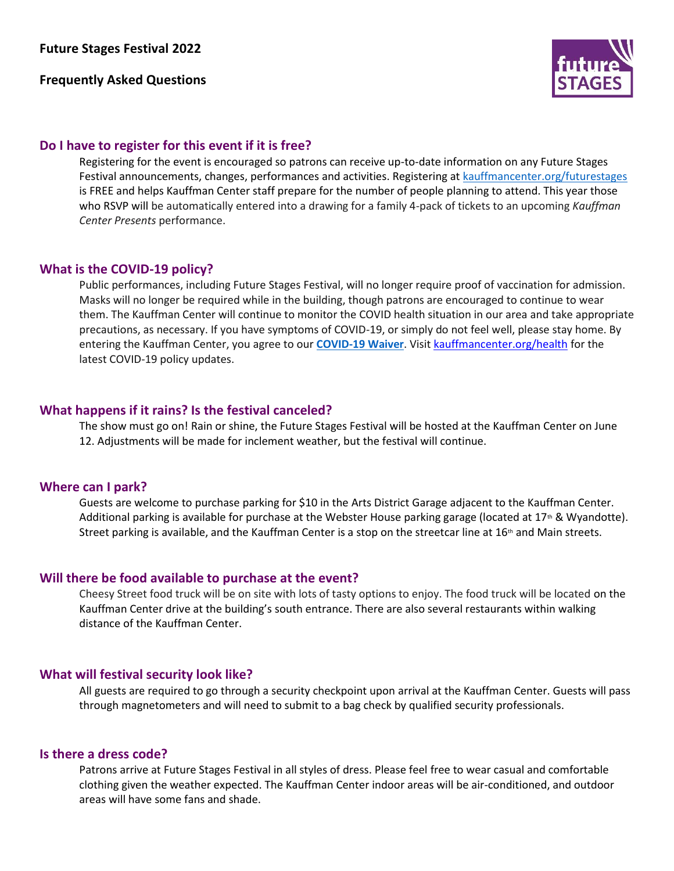# **Frequently Asked Questions**



# **Do I have to register for this event if it is free?**

Registering for the event is encouraged so patrons can receive up-to-date information on any Future Stages Festival announcements, changes, performances and activities. Registering a[t kauffmancenter.org/futurestages](https://www.kauffmancenter.org/open-doors/future-stages-festival/) is FREE and helps Kauffman Center staff prepare for the number of people planning to attend. This year those who RSVP will be automatically entered into a drawing for a family 4-pack of tickets to an upcoming *Kauffman Center Presents* performance.

## **What is the COVID-19 policy?**

Public performances, including Future Stages Festival, will no longer require proof of vaccination for admission. Masks will no longer be required while in the building, though patrons are encouraged to continue to wear them. The Kauffman Center will continue to monitor the COVID health situation in our area and take appropriate precautions, as necessary. If you have symptoms of COVID-19, or simply do not feel well, please stay home. By entering the Kauffman Center, you agree to our **[COVID-19 Waiver](https://www.kauffmancenter.org/wp-content/uploads/COVID-19-Waiver.pdf)**. Visit [kauffmancenter.org/health](https://www.kauffmancenter.org/the-center/health/) for the latest COVID-19 policy updates.

# **What happens if it rains? Is the festival canceled?**

The show must go on! Rain or shine, the Future Stages Festival will be hosted at the Kauffman Center on June 12. Adjustments will be made for inclement weather, but the festival will continue.

## **Where can I park?**

Guests are welcome to purchase parking for \$10 in the Arts District Garage adjacent to the Kauffman Center. Additional parking is available for purchase at the Webster House parking garage (located at  $17<sup>th</sup>$  & Wyandotte). Street parking is available, and the Kauffman Center is a stop on the streetcar line at  $16<sup>th</sup>$  and Main streets.

## **Will there be food available to purchase at the event?**

Cheesy Street food truck will be on site with lots of tasty options to enjoy. The food truck will be located on the Kauffman Center drive at the building's south entrance. There are also several restaurants within walking distance of the Kauffman Center.

# **What will festival security look like?**

All guests are required to go through a security checkpoint upon arrival at the Kauffman Center. Guests will pass through magnetometers and will need to submit to a bag check by qualified security professionals.

## **Is there a dress code?**

Patrons arrive at Future Stages Festival in all styles of dress. Please feel free to wear casual and comfortable clothing given the weather expected. The Kauffman Center indoor areas will be air-conditioned, and outdoor areas will have some fans and shade.